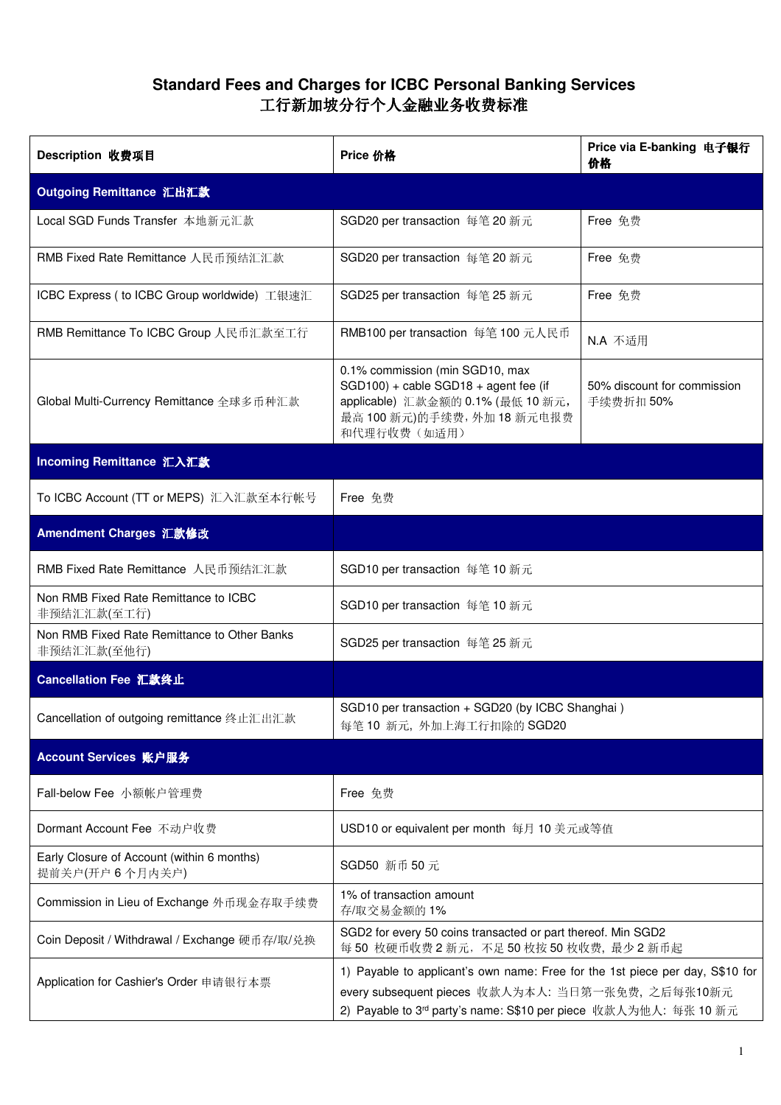## **Standard Fees and Charges for ICBC Personal Banking Services** 工行新加坡分行个人金融业务收费标准

| Description 收费项目                                             | Price 价格                                                                                                                                                                                                           | Price via E-banking 电子银行<br>价格           |
|--------------------------------------------------------------|--------------------------------------------------------------------------------------------------------------------------------------------------------------------------------------------------------------------|------------------------------------------|
| Outgoing Remittance 汇出汇款                                     |                                                                                                                                                                                                                    |                                          |
| Local SGD Funds Transfer 本地新元汇款                              | SGD20 per transaction 每笔 20 新元                                                                                                                                                                                     | Free 免费                                  |
| RMB Fixed Rate Remittance 人民币预结汇汇款                           | SGD20 per transaction 每笔 20 新元                                                                                                                                                                                     | Free 免费                                  |
| ICBC Express ( to ICBC Group worldwide) 工银速汇                 | SGD25 per transaction 每笔 25 新元                                                                                                                                                                                     | Free 免费                                  |
| RMB Remittance To ICBC Group 人民币汇款至工行                        | RMB100 per transaction 每笔 100 元人民币                                                                                                                                                                                 | N.A 不适用                                  |
| Global Multi-Currency Remittance 全球多币种汇款                     | 0.1% commission (min SGD10, max<br>SGD100) + cable SGD18 + agent fee (if<br>applicable) 汇款金额的 0.1% (最低 10 新元,<br>最高 100 新元)的手续费, 外加 18 新元电报费<br>和代理行收费(如适用)                                                        | 50% discount for commission<br>手续费折扣 50% |
| Incoming Remittance 汇入汇款                                     |                                                                                                                                                                                                                    |                                          |
| To ICBC Account (TT or MEPS) 汇入汇款至本行帐号                       | Free 免费                                                                                                                                                                                                            |                                          |
| Amendment Charges 汇款修改                                       |                                                                                                                                                                                                                    |                                          |
| RMB Fixed Rate Remittance 人民币预结汇汇款                           | SGD10 per transaction 每笔 10 新元                                                                                                                                                                                     |                                          |
| Non RMB Fixed Rate Remittance to ICBC<br>非预结汇汇款(至工行)         | SGD10 per transaction 每笔 10 新元                                                                                                                                                                                     |                                          |
| Non RMB Fixed Rate Remittance to Other Banks<br>非预结汇汇款(至他行)  | SGD25 per transaction 每笔 25 新元                                                                                                                                                                                     |                                          |
| Cancellation Fee 汇款终止                                        |                                                                                                                                                                                                                    |                                          |
| Cancellation of outgoing remittance 终止汇出汇款                   | SGD10 per transaction + SGD20 (by ICBC Shanghai)<br>每笔 10 新元, 外加上海工行扣除的 SGD20                                                                                                                                      |                                          |
| Account Services 账户服务                                        |                                                                                                                                                                                                                    |                                          |
| Fall-below Fee 小额帐户管理费                                       | Free 免费                                                                                                                                                                                                            |                                          |
| Dormant Account Fee 不动户收费                                    | USD10 or equivalent per month 每月 10 美元或等值                                                                                                                                                                          |                                          |
| Early Closure of Account (within 6 months)<br>提前关户(开户6个月内关户) | SGD50 新币 50 元                                                                                                                                                                                                      |                                          |
| Commission in Lieu of Exchange 外币现金存取手续费                     | 1% of transaction amount<br>存/取交易金额的1%                                                                                                                                                                             |                                          |
| Coin Deposit / Withdrawal / Exchange 硬币存/取/兑换                | SGD2 for every 50 coins transacted or part thereof. Min SGD2<br>每 50 枚硬币收费 2 新元, 不足 50 枚按 50 枚收费, 最少 2 新币起                                                                                                         |                                          |
| Application for Cashier's Order 申请银行本票                       | 1) Payable to applicant's own name: Free for the 1st piece per day, S\$10 for<br>every subsequent pieces 收款人为本人: 当日第一张免费, 之后每张10新元<br>2) Payable to 3 <sup>rd</sup> party's name: S\$10 per piece 收款人为他人: 每张 10 新元 |                                          |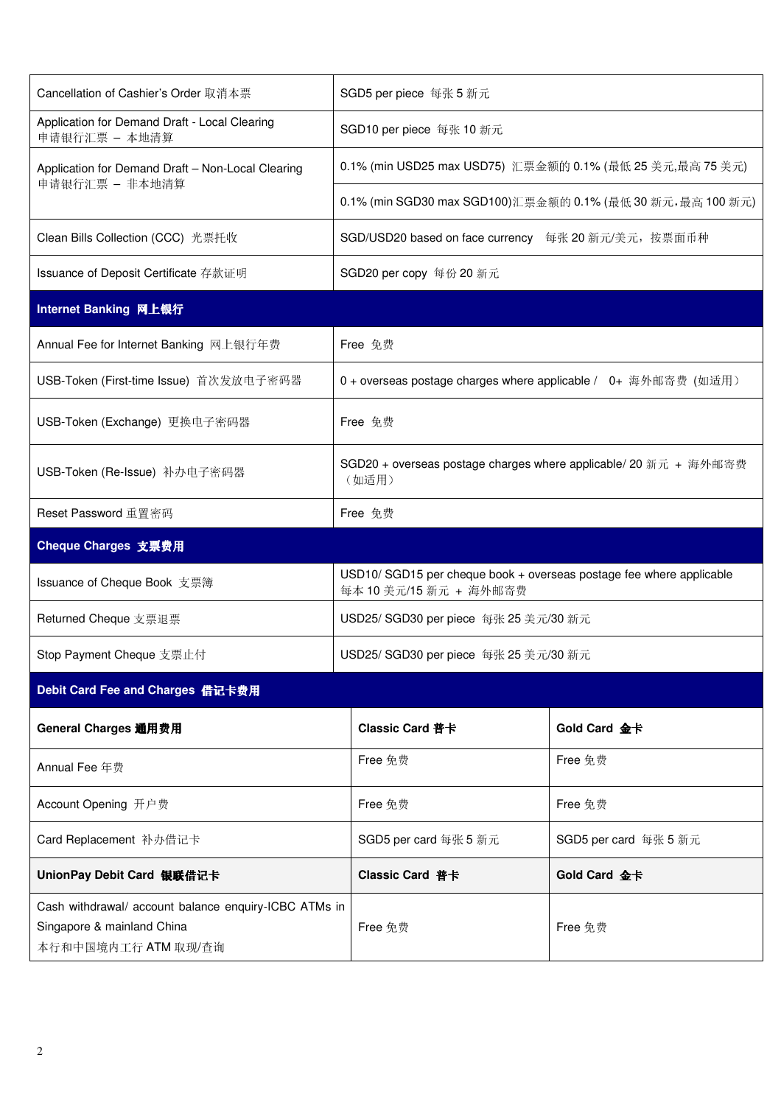| Cancellation of Cashier's Order 取消本票                                                                       | SGD5 per piece 每张 5 新元                                                                         |                       |  |  |
|------------------------------------------------------------------------------------------------------------|------------------------------------------------------------------------------------------------|-----------------------|--|--|
| Application for Demand Draft - Local Clearing<br>申请银行汇票 - 本地清算                                             | SGD10 per piece 每张 10 新元                                                                       |                       |  |  |
| Application for Demand Draft - Non-Local Clearing<br>申请银行汇票 - 非本地清算                                        | 0.1% (min USD25 max USD75) 汇票金额的 0.1% (最低 25 美元,最高 75 美元)                                      |                       |  |  |
|                                                                                                            | 0.1% (min SGD30 max SGD100)汇票金额的 0.1% (最低 30 新元,最高 100 新元)                                     |                       |  |  |
| Clean Bills Collection (CCC) 光票托收                                                                          | SGD/USD20 based on face currency 每张 20 新元/美元, 按票面币种                                            |                       |  |  |
| Issuance of Deposit Certificate 存款证明                                                                       | SGD20 per copy 每份 20 新元                                                                        |                       |  |  |
| Internet Banking 网上银行                                                                                      |                                                                                                |                       |  |  |
| Annual Fee for Internet Banking 网上银行年费                                                                     | Free 免费                                                                                        |                       |  |  |
| USB-Token (First-time Issue) 首次发放电子密码器                                                                     | 0 + overseas postage charges where applicable / 0+ 海外邮寄费 (如适用)                                 |                       |  |  |
| USB-Token (Exchange) 更换电子密码器                                                                               | Free 免费                                                                                        |                       |  |  |
| USB-Token (Re-Issue) 补办电子密码器                                                                               | SGD20 + overseas postage charges where applicable/ 20 新元 + 海外邮寄费<br>(如适用)                      |                       |  |  |
| Reset Password 重置密码                                                                                        | Free 免费                                                                                        |                       |  |  |
| Cheque Charges 支票费用                                                                                        |                                                                                                |                       |  |  |
| Issuance of Cheque Book 支票簿                                                                                | USD10/ SGD15 per cheque book + overseas postage fee where applicable<br>每本 10 美元/15 新元 + 海外邮寄费 |                       |  |  |
| Returned Cheque 支票退票                                                                                       | USD25/ SGD30 per piece 每张 25 美元/30 新元                                                          |                       |  |  |
| Stop Payment Cheque 支票止付                                                                                   | USD25/ SGD30 per piece 每张 25 美元/30 新元                                                          |                       |  |  |
| Debit Card Fee and Charges 借记卡费用                                                                           |                                                                                                |                       |  |  |
| General Charges 通用费用                                                                                       | Classic Card 普卡                                                                                | Gold Card 金卡          |  |  |
| Annual Fee 年费                                                                                              | Free 免费                                                                                        | Free 免费               |  |  |
| Account Opening 开户费                                                                                        | Free 免费                                                                                        | Free 兔费               |  |  |
| Card Replacement 补办借记卡                                                                                     | SGD5 per card 每张 5 新元                                                                          | SGD5 per card 每张 5 新元 |  |  |
| UnionPay Debit Card 银联借记卡                                                                                  | Classic Card 普卡                                                                                | Gold Card 金卡          |  |  |
| Cash withdrawal/ account balance enquiry-ICBC ATMs in<br>Singapore & mainland China<br>本行和中国境内工行 ATM 取现/查询 | Free 兔费                                                                                        | Free 免费               |  |  |